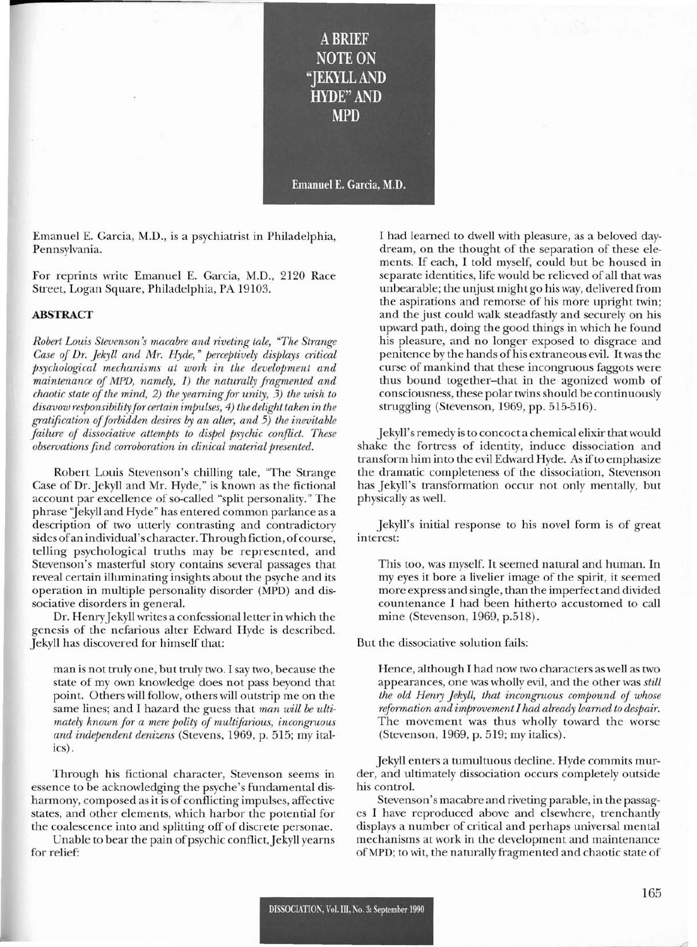

Emanuel E. Garcia, M.D.

Emanuel E. Garcia, M.D., is a psychiatrist in Philadelphia, Pennsylvania.

For reprints write Emanuel E. Garcia, M.D., 2120 Race Street, Logan Square, Philadelphia, PA 19103.

## **ABSTRACT**

**-**

*Robert Louis Stevenson's macabre and riveting tale, "The Strange Case of Dr. Jekyll and Mr. Hyde," perceptively displays critical psychological mechanisms at work in the development and maintenance of* MPD, *namely,* 1) *the naturally fragmented and chaotic state of the mind,* 2) *the yearning for unity,* 3) *the wish to disavow responsibilityfor certain impulses,* 4) *the delight taken in the gratification offorbidden desires by an alter, and* 5) *the inevitable failure oj dissociative attempts to dispel psychic conflict. These obseroationsfind corroboration in clinical material presented.*

Robert Louis Stevenson's chilling tale, "The Strange Case of Dr. Jekyll and Mr. Hyde," is known as the fictional account par excellence of so-called "split personality." The phrase 'Jekyll and Hyde" has entered common parlance as a description of two utterly contrasting and contradictory sides of an individual's character. Through fiction, of course, telling psychological truths may be represented, and Stevenson's masterful story contains several passages that reveal certain illuminating insights about the psyche and its operation in multiple personality disorder (MPD) and dissociative disorders in general.

Dr. HenryJekyll writes a confessional letter in which the genesis of the nefarious alter Edward Hyde is described. Jekyll has discovered for himself that:

man is not truly one, but truly two. I say two, because the state of my own knowledge does not pass beyond that point. Others will follow, others will outstrip me on the same lines; and I hazard the guess that *man will be ultimately known for a mere polity of multifarious, incongruous and independent denizens* (Stevens, 1969, p. 515; my italics) .

Through his fictional character, Stevenson seems in essence to be acknowledging the psyche's fundamental disharmony, composed as it is of conflicting impulses, affective states, and other elements, which harbor the potential for the coalescence into and splitting off of discrete personae.

Unable to bear the pain of psychic conflict, Jekyll yearns for relief:

I had learned to dwell with pleasure, as a beloved daydream, on the thought of the separation of these elements. **If** each, I told myself, could but be housed in separate identities, life would be relieved of all that was unbearable; the unjust might go his way, delivered from the aspirations and remorse of his more upright twin; and the just could walk steadfastly and securely on his upward path, doing the good things in which he found his pleasure, and no longer exposed to disgrace and penitence by the hands of his extraneous evil. **It** was the curse of mankind that these incongruous faggots were thus bound together-that in the agonized womb of consciousness, these polar twins should be continuously struggling (Stevenson, 1969, pp. 515-516).

Jekyll's remedy is to concoct a chemical elixir thatwould shake the fortress of identity, induce dissociation and transform him into the evil Edward Hyde. As ifto emphasize the dramatic completeness of the dissociation, Stevenson has Jekyll's transformation occur not only mentally, but physically as well.

Jekyll's initial response to his novel form is of great interest:

This too, was myself. It seemed natural and human. **In** my eyes it bore a livelier image of the spirit, it seemed more express and single, than the imperfect and divided countenance I had been hitherto accustomed to call mine (Stevenson, 1969, p.518).

But the dissociative solution fails:

Hence, although I had now two characters as well as two appearances, one was wholly evil, and the other was *still the old Henry Jekyll, that incongruous compound oj whose reformation and improvementI had already learned to despair.* The movement was thus wholly toward the worse (Stevenson, 1969, p. 519; my italics).

Jekyll enters a tumultuous decline. Hyde commits murder, and ultimately dissociation occurs completely outside his control.

Stevenson's macabre and riveting parable, in the passages I have reproduced above and elsewhere, trenchantly displays a number of critical and perhaps universal mental mechanisms at work in the development and maintenance ofMPD; to wit, the naturally fragmented and chaotic state of